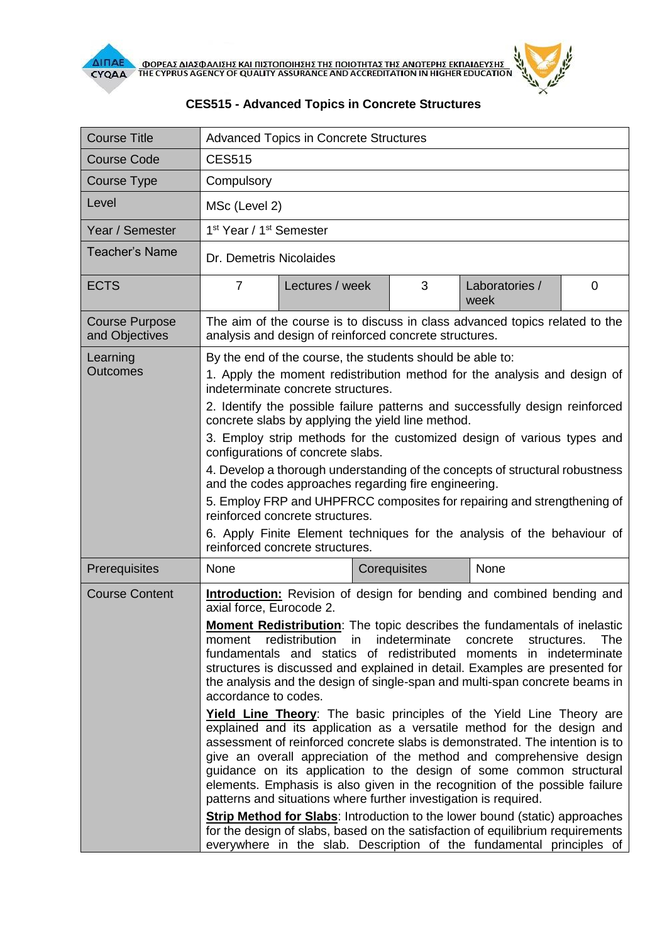



| <b>Course Title</b>                     | <b>Advanced Topics in Concrete Structures</b>                                                                                                                                                                                                                                                                                                                                                                                                                                                                                   |                                                                                                                                      |              |                        |   |  |
|-----------------------------------------|---------------------------------------------------------------------------------------------------------------------------------------------------------------------------------------------------------------------------------------------------------------------------------------------------------------------------------------------------------------------------------------------------------------------------------------------------------------------------------------------------------------------------------|--------------------------------------------------------------------------------------------------------------------------------------|--------------|------------------------|---|--|
| <b>Course Code</b>                      | <b>CES515</b>                                                                                                                                                                                                                                                                                                                                                                                                                                                                                                                   |                                                                                                                                      |              |                        |   |  |
| Course Type                             | Compulsory                                                                                                                                                                                                                                                                                                                                                                                                                                                                                                                      |                                                                                                                                      |              |                        |   |  |
| Level                                   | MSc (Level 2)                                                                                                                                                                                                                                                                                                                                                                                                                                                                                                                   |                                                                                                                                      |              |                        |   |  |
| Year / Semester                         | 1 <sup>st</sup> Year / 1 <sup>st</sup> Semester                                                                                                                                                                                                                                                                                                                                                                                                                                                                                 |                                                                                                                                      |              |                        |   |  |
| <b>Teacher's Name</b>                   | Dr. Demetris Nicolaides                                                                                                                                                                                                                                                                                                                                                                                                                                                                                                         |                                                                                                                                      |              |                        |   |  |
| <b>ECTS</b>                             | $\overline{7}$                                                                                                                                                                                                                                                                                                                                                                                                                                                                                                                  | Lectures / week                                                                                                                      | 3            | Laboratories /<br>week | 0 |  |
| <b>Course Purpose</b><br>and Objectives | The aim of the course is to discuss in class advanced topics related to the<br>analysis and design of reinforced concrete structures.                                                                                                                                                                                                                                                                                                                                                                                           |                                                                                                                                      |              |                        |   |  |
| Learning<br><b>Outcomes</b>             | By the end of the course, the students should be able to:<br>1. Apply the moment redistribution method for the analysis and design of<br>indeterminate concrete structures.<br>2. Identify the possible failure patterns and successfully design reinforced                                                                                                                                                                                                                                                                     |                                                                                                                                      |              |                        |   |  |
|                                         | concrete slabs by applying the yield line method.<br>3. Employ strip methods for the customized design of various types and<br>configurations of concrete slabs.                                                                                                                                                                                                                                                                                                                                                                |                                                                                                                                      |              |                        |   |  |
|                                         |                                                                                                                                                                                                                                                                                                                                                                                                                                                                                                                                 | 4. Develop a thorough understanding of the concepts of structural robustness<br>and the codes approaches regarding fire engineering. |              |                        |   |  |
|                                         | 5. Employ FRP and UHPFRCC composites for repairing and strengthening of<br>reinforced concrete structures.<br>6. Apply Finite Element techniques for the analysis of the behaviour of<br>reinforced concrete structures.                                                                                                                                                                                                                                                                                                        |                                                                                                                                      |              |                        |   |  |
|                                         |                                                                                                                                                                                                                                                                                                                                                                                                                                                                                                                                 |                                                                                                                                      |              |                        |   |  |
| Prerequisites                           | None                                                                                                                                                                                                                                                                                                                                                                                                                                                                                                                            |                                                                                                                                      | Corequisites | None                   |   |  |
| <b>Course Content</b>                   | <b>Introduction:</b> Revision of design for bending and combined bending and<br>axial force, Eurocode 2.                                                                                                                                                                                                                                                                                                                                                                                                                        |                                                                                                                                      |              |                        |   |  |
|                                         | <b>Moment Redistribution:</b> The topic describes the fundamentals of inelastic<br>moment redistribution in<br>indeterminate concrete<br><b>The</b><br>structures.<br>fundamentals and statics of redistributed moments in indeterminate<br>structures is discussed and explained in detail. Examples are presented for<br>the analysis and the design of single-span and multi-span concrete beams in<br>accordance to codes.                                                                                                  |                                                                                                                                      |              |                        |   |  |
|                                         | Yield Line Theory: The basic principles of the Yield Line Theory are<br>explained and its application as a versatile method for the design and<br>assessment of reinforced concrete slabs is demonstrated. The intention is to<br>give an overall appreciation of the method and comprehensive design<br>guidance on its application to the design of some common structural<br>elements. Emphasis is also given in the recognition of the possible failure<br>patterns and situations where further investigation is required. |                                                                                                                                      |              |                        |   |  |
|                                         | <b>Strip Method for Slabs:</b> Introduction to the lower bound (static) approaches<br>for the design of slabs, based on the satisfaction of equilibrium requirements<br>everywhere in the slab. Description of the fundamental principles of                                                                                                                                                                                                                                                                                    |                                                                                                                                      |              |                        |   |  |

## **CES515 - Advanced Topics in Concrete Structures**